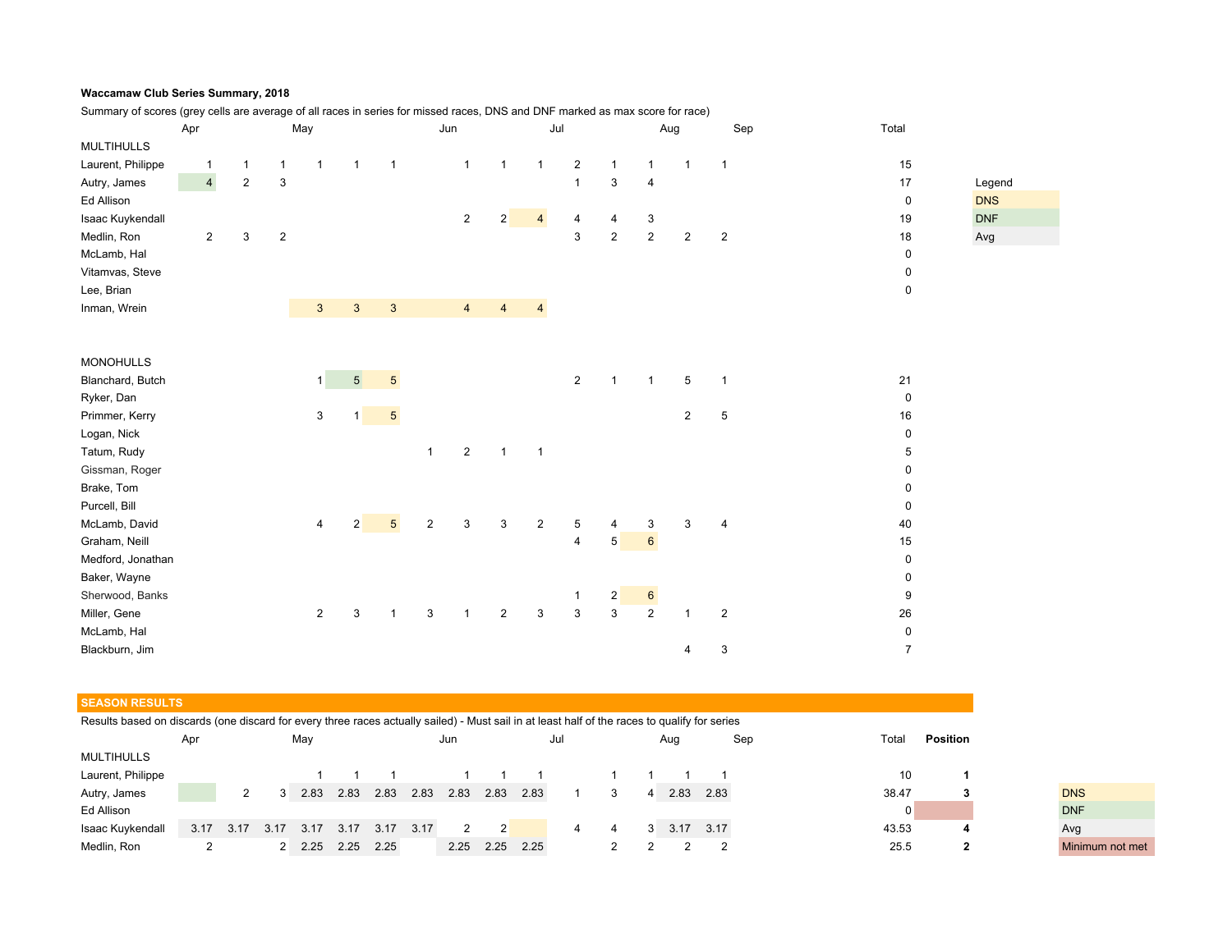## **Waccamaw Club Series Summary, 2018**

Summary of scores (grey cells are average of all races in series for missed races, DNS and DNF marked as max score for race)

| Apr               |                |  | May            |                |                         |                | Jun             |                  |                         | Jul            |                |                           | Aug            |                 | Sep            | Total          |                           |
|-------------------|----------------|--|----------------|----------------|-------------------------|----------------|-----------------|------------------|-------------------------|----------------|----------------|---------------------------|----------------|-----------------|----------------|----------------|---------------------------|
| <b>MULTIHULLS</b> |                |  |                |                |                         |                |                 |                  |                         |                |                |                           |                |                 |                |                |                           |
| Laurent, Philippe | 1              |  | $\mathbf{1}$   | $\mathbf{1}$   | $\mathbf{1}$            | $\overline{1}$ | $\overline{1}$  |                  | $\mathbf{1}$            | $\mathbf{1}$   | $\mathbf{1}$   | $\overline{c}$            | $\mathbf{1}$   | 1               | $\mathbf{1}$   | $\overline{1}$ | 15                        |
| Autry, James      | $\overline{4}$ |  | $\overline{2}$ | 3              |                         |                |                 |                  |                         |                |                | $\mathbf{1}$              | 3              | $\overline{4}$  |                |                | 17<br>Legend              |
| Ed Allison        |                |  |                |                |                         |                |                 |                  |                         |                |                |                           |                |                 |                |                | <b>DNS</b><br>$\mathbf 0$ |
| Isaac Kuykendall  |                |  |                |                |                         |                |                 |                  | $\overline{a}$          | 2              | $\overline{4}$ | 4                         | 4              | 3               |                |                | <b>DNF</b><br>19          |
| Medlin, Ron       | $\overline{a}$ |  | 3              | $\overline{2}$ |                         |                |                 |                  |                         |                |                | 3                         | $\overline{2}$ | $\sqrt{2}$      | $\overline{2}$ | $\overline{2}$ | 18<br>Avg                 |
| McLamb, Hal       |                |  |                |                |                         |                |                 |                  |                         |                |                |                           |                |                 |                |                | $\mathbf 0$               |
| Vitamvas, Steve   |                |  |                |                |                         |                |                 |                  |                         |                |                |                           |                |                 |                |                | 0                         |
| Lee, Brian        |                |  |                |                |                         |                |                 |                  |                         |                |                |                           |                |                 |                |                | 0                         |
| Inman, Wrein      |                |  |                |                | $\sqrt{3}$              | $\mathbf{3}$   | $\mathbf{3}$    |                  | $\overline{4}$          | $\overline{4}$ | $\overline{4}$ |                           |                |                 |                |                |                           |
|                   |                |  |                |                |                         |                |                 |                  |                         |                |                |                           |                |                 |                |                |                           |
|                   |                |  |                |                |                         |                |                 |                  |                         |                |                |                           |                |                 |                |                |                           |
| <b>MONOHULLS</b>  |                |  |                |                |                         |                |                 |                  |                         |                |                |                           |                |                 |                |                |                           |
| Blanchard, Butch  |                |  |                |                | $\mathbf{1}$            | 5 <sup>5</sup> | $\sqrt{5}$      |                  |                         |                |                | $\overline{2}$            | $\mathbf{1}$   | $\overline{1}$  | 5              | $\overline{1}$ | 21                        |
| Ryker, Dan        |                |  |                |                |                         |                |                 |                  |                         |                |                |                           |                |                 |                |                | $\mathbf 0$               |
| Primmer, Kerry    |                |  |                |                | $\mathsf 3$             | 1              | $\sqrt{5}$      |                  |                         |                |                |                           |                |                 | $\overline{2}$ | $\,$ 5 $\,$    | 16                        |
| Logan, Nick       |                |  |                |                |                         |                |                 |                  |                         |                |                |                           |                |                 |                |                | 0                         |
| Tatum, Rudy       |                |  |                |                |                         |                |                 | $\mathbf{1}$     | $\overline{\mathbf{c}}$ | $\overline{1}$ | $\overline{1}$ |                           |                |                 |                |                | 5                         |
| Gissman, Roger    |                |  |                |                |                         |                |                 |                  |                         |                |                |                           |                |                 |                |                | 0                         |
| Brake, Tom        |                |  |                |                |                         |                |                 |                  |                         |                |                |                           |                |                 |                |                | 0                         |
| Purcell, Bill     |                |  |                |                |                         |                |                 |                  |                         |                |                |                           |                |                 |                |                | 0                         |
| McLamb, David     |                |  |                |                | $\overline{\mathbf{4}}$ | $\overline{2}$ | $5\phantom{.0}$ | $\boldsymbol{2}$ | 3                       | $\mathbf{3}$   | $\overline{2}$ | 5                         | $\overline{4}$ | 3               | 3              | $\overline{4}$ | 40                        |
| Graham, Neill     |                |  |                |                |                         |                |                 |                  |                         |                |                | 4                         | $\sqrt{5}$     | $6\overline{6}$ |                |                | 15                        |
| Medford, Jonathan |                |  |                |                |                         |                |                 |                  |                         |                |                |                           |                |                 |                |                | $\pmb{0}$                 |
| Baker, Wayne      |                |  |                |                |                         |                |                 |                  |                         |                |                |                           |                |                 |                |                | 0                         |
| Sherwood, Banks   |                |  |                |                |                         |                |                 |                  |                         |                |                | $\mathbf{1}$              | $\mathbf{2}$   | $6\phantom{a}$  |                |                | 9                         |
| Miller, Gene      |                |  |                |                | $\overline{2}$          | 3              | $\mathbf{1}$    | $\mathsf 3$      | $\mathbf{1}$            | $\overline{2}$ | $\mathsf 3$    | $\ensuremath{\mathsf{3}}$ | $\overline{3}$ | $\sqrt{2}$      | $\mathbf{1}$   | $\overline{2}$ | 26                        |
| McLamb, Hal       |                |  |                |                |                         |                |                 |                  |                         |                |                |                           |                |                 |                |                | $\pmb{0}$                 |
| Blackburn, Jim    |                |  |                |                |                         |                |                 |                  |                         |                |                |                           |                |                 | 4              | 3              | $\overline{7}$            |

## **SEASON RESULTS**

Results based on discards (one discard for every three races actually sailed) - Must sail in at least half of the races to qualify for series

|                   | Apr  |      |      | May  |      |      |      | Jun           |      |      | Jul |   | Aug  |      | Sep | Total | Position |                 |
|-------------------|------|------|------|------|------|------|------|---------------|------|------|-----|---|------|------|-----|-------|----------|-----------------|
| <b>MULTIHULLS</b> |      |      |      |      |      |      |      |               |      |      |     |   |      |      |     |       |          |                 |
| Laurent, Philippe |      |      |      |      |      |      |      |               |      |      |     |   |      |      |     | 10    |          |                 |
| Autry, James      |      |      |      | 2.83 | 2.83 | 2.83 | 2.83 | 2.83          | 2.83 | 2.83 |     |   | 2.83 | 2.83 |     | 38.47 | ĸ.       | <b>DNS</b>      |
| Ed Allison        |      |      |      |      |      |      |      |               |      |      |     |   |      |      |     |       |          | <b>DNF</b>      |
| Isaac Kuykendall  | 3.17 | 3.17 | 3.17 | 3.17 | 3.17 | 3.17 | 3.17 | $\mathcal{P}$ |      |      | 4   | 4 | 3.17 | 3.17 |     | 43.53 |          | Avg             |
| Medlin, Ron       |      |      |      | 2.25 | 2.25 | 2.25 |      | 2.25          | 2.25 | 2.25 |     |   |      |      |     | 25.5  |          | Minimum not met |